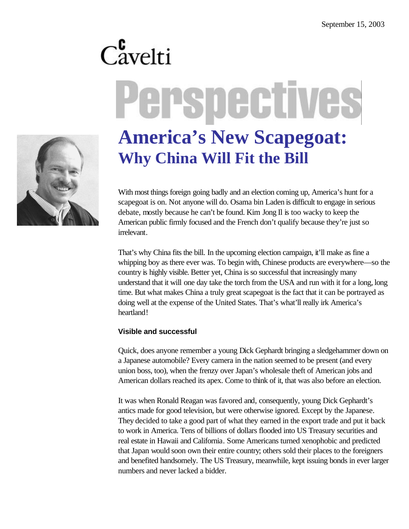# Perspectives



# **America's New Scapegoat: Why China Will Fit the Bill**

With most things foreign going badly and an election coming up, America's hunt for a scapegoat is on. Not anyone will do. Osama bin Laden is difficult to engage in serious debate, mostly because he can't be found. Kim Jong Il is too wacky to keep the American public firmly focused and the French don't qualify because they're just so irrelevant.

That's why China fits the bill. In the upcoming election campaign, it'll make as fine a whipping boy as there ever was. To begin with, Chinese products are everywhere—so the country is highly visible. Better yet, China is so successful that increasingly many understand that it will one day take the torch from the USA and run with it for a long, long time. But what makes China a truly great scapegoat is the fact that it can be portrayed as doing well at the expense of the United States. That's what'll really irk America's heartland!

### **Visible and successful**

Quick, does anyone remember a young Dick Gephardt bringing a sledgehammer down on a Japanese automobile? Every camera in the nation seemed to be present (and every union boss, too), when the frenzy over Japan's wholesale theft of American jobs and American dollars reached its apex. Come to think of it, that was also before an election.

It was when Ronald Reagan was favored and, consequently, young Dick Gephardt's antics made for good television, but were otherwise ignored. Except by the Japanese. They decided to take a good part of what they earned in the export trade and put it back to work in America. Tens of billions of dollars flooded into US Treasury securities and real estate in Hawaii and California. Some Americans turned xenophobic and predicted that Japan would soon own their entire country; others sold their places to the foreigners and benefited handsomely. The US Treasury, meanwhile, kept issuing bonds in ever larger numbers and never lacked a bidder.